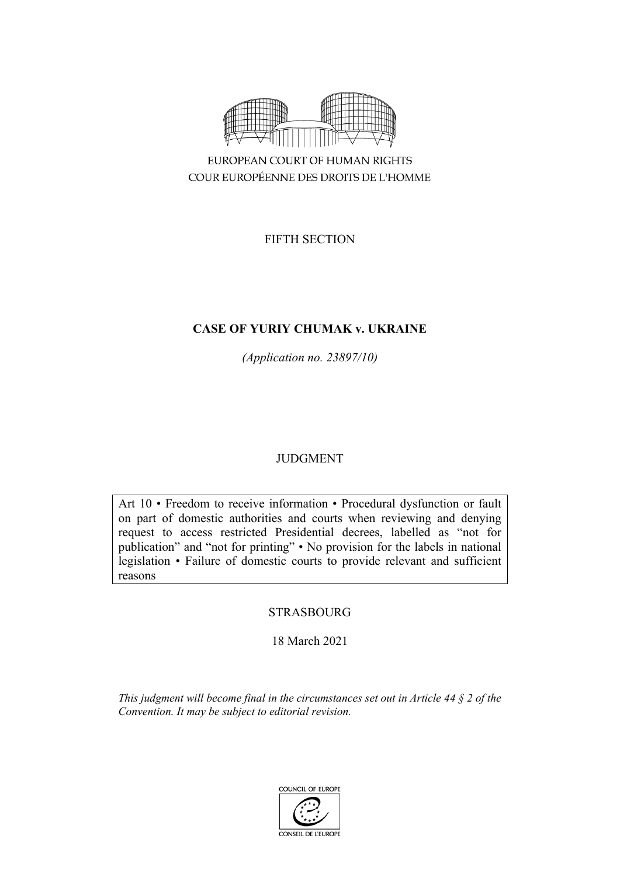

COUR EUROPÉENNE DES DROITS DE L'HOMME

FIFTH SECTION

# **CASE OF YURIY CHUMAK v. UKRAINE**

*(Application no. 23897/10)*

# JUDGMENT

Art 10 • Freedom to receive information • Procedural dysfunction or fault on part of domestic authorities and courts when reviewing and denying request to access restricted Presidential decrees, labelled as "not for publication" and "not for printing" • No provision for the labels in national legislation • Failure of domestic courts to provide relevant and sufficient reasons

# STRASBOURG

18 March 2021

*This judgment will become final in the circumstances set out in Article 44 § 2 of the Convention. It may be subject to editorial revision.*

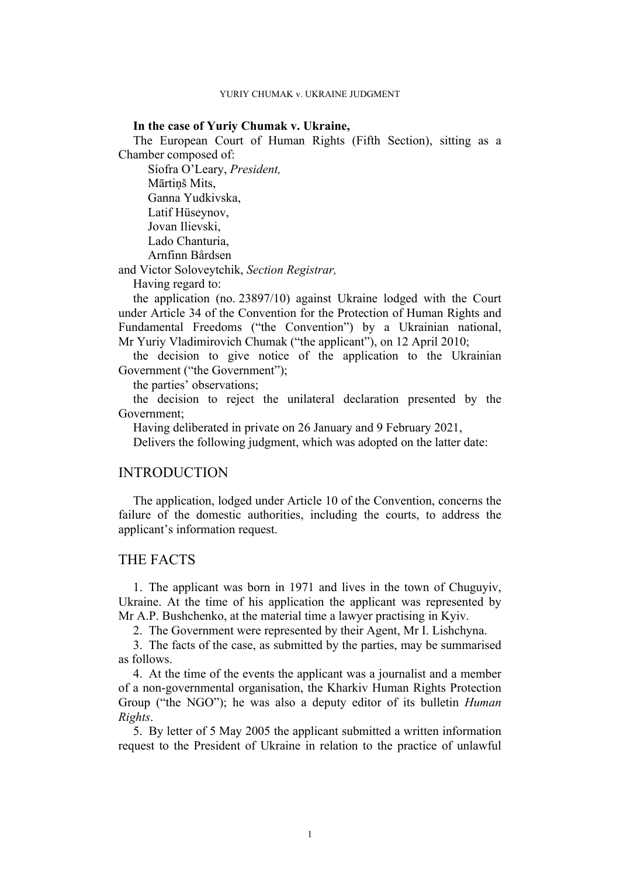### **In the case of Yuriy Chumak v. Ukraine,**

The European Court of Human Rights (Fifth Section), sitting as a Chamber composed of:

Síofra O'Leary, *President,* Mārtiņš Mits, Ganna Yudkivska, Latif Hüseynov, Jovan Ilievski, Lado Chanturia, Arnfinn Bårdsen

and Victor Soloveytchik, *Section Registrar,*

Having regard to:

the application (no. 23897/10) against Ukraine lodged with the Court under Article 34 of the Convention for the Protection of Human Rights and Fundamental Freedoms ("the Convention") by a Ukrainian national, Mr Yuriy Vladimirovich Chumak ("the applicant"), on 12 April 2010;

the decision to give notice of the application to the Ukrainian Government ("the Government");

the parties' observations;

the decision to reject the unilateral declaration presented by the Government;

Having deliberated in private on 26 January and 9 February 2021,

Delivers the following judgment, which was adopted on the latter date:

## INTRODUCTION

The application, lodged under Article 10 of the Convention, concerns the failure of the domestic authorities, including the courts, to address the applicant's information request.

## THE FACTS

1. The applicant was born in 1971 and lives in the town of Chuguyiv, Ukraine. At the time of his application the applicant was represented by Mr A.P. Bushchenko, at the material time a lawyer practising in Kyiv.

2. The Government were represented by their Agent, Mr I. Lishchyna.

3. The facts of the case, as submitted by the parties, may be summarised as follows.

4. At the time of the events the applicant was a journalist and a member of a non-governmental organisation, the Kharkiv Human Rights Protection Group ("the NGO"); he was also a deputy editor of its bulletin *Human Rights*.

5. By letter of 5 May 2005 the applicant submitted a written information request to the President of Ukraine in relation to the practice of unlawful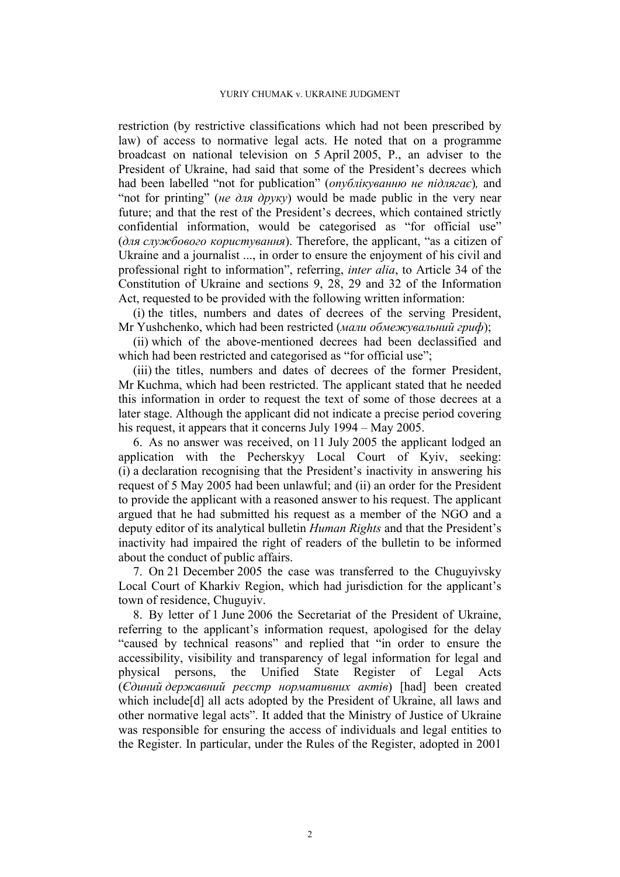restriction (by restrictive classifications which had not been prescribed by law) of access to normative legal acts. He noted that on a programme broadcast on national television on 5 April 2005, P., an adviser to the President of Ukraine, had said that some of the President's decrees which had been labelled "not for publication" (*опублікуванню не підлягає*)*,* and "not for printing" (*не для друку*) would be made public in the very near future; and that the rest of the President's decrees, which contained strictly confidential information, would be categorised as "for official use" (*для службового користування*). Therefore, the applicant, "as a citizen of Ukraine and a journalist ..., in order to ensure the enjoyment of his civil and professional right to information", referring, *inter alia*, to Article 34 of the Constitution of Ukraine and sections 9, 28, 29 and 32 of the Information Act, requested to be provided with the following written information:

(i) the titles, numbers and dates of decrees of the serving President, Mr Yushchenko, which had been restricted (*мали обмежувальний гриф*);

(ii) which of the above-mentioned decrees had been declassified and which had been restricted and categorised as "for official use";

(iii) the titles, numbers and dates of decrees of the former President, Mr Kuchma, which had been restricted. The applicant stated that he needed this information in order to request the text of some of those decrees at a later stage. Although the applicant did not indicate a precise period covering his request, it appears that it concerns July 1994 – May 2005.

6. As no answer was received, on 11 July 2005 the applicant lodged an application with the Pecherskyy Local Court of Kyiv, seeking: (i) a declaration recognising that the President's inactivity in answering his request of 5 May 2005 had been unlawful; and (ii) an order for the President to provide the applicant with a reasoned answer to his request. The applicant argued that he had submitted his request as a member of the NGO and a deputy editor of its analytical bulletin *Human Rights* and that the President's inactivity had impaired the right of readers of the bulletin to be informed about the conduct of public affairs.

7. On 21 December 2005 the case was transferred to the Chuguyivsky Local Court of Kharkiv Region, which had jurisdiction for the applicant's town of residence, Chuguyiv.

8. By letter of 1 June 2006 the Secretariat of the President of Ukraine, referring to the applicant's information request, apologised for the delay "caused by technical reasons" and replied that "in order to ensure the accessibility, visibility and transparency of legal information for legal and physical persons, the Unified State Register of Legal Acts (*Єдиний державний реєстр нормативних актів*) [had] been created which include<sup>[d]</sup> all acts adopted by the President of Ukraine, all laws and other normative legal acts". It added that the Ministry of Justice of Ukraine was responsible for ensuring the access of individuals and legal entities to the Register. In particular, under the Rules of the Register, adopted in 2001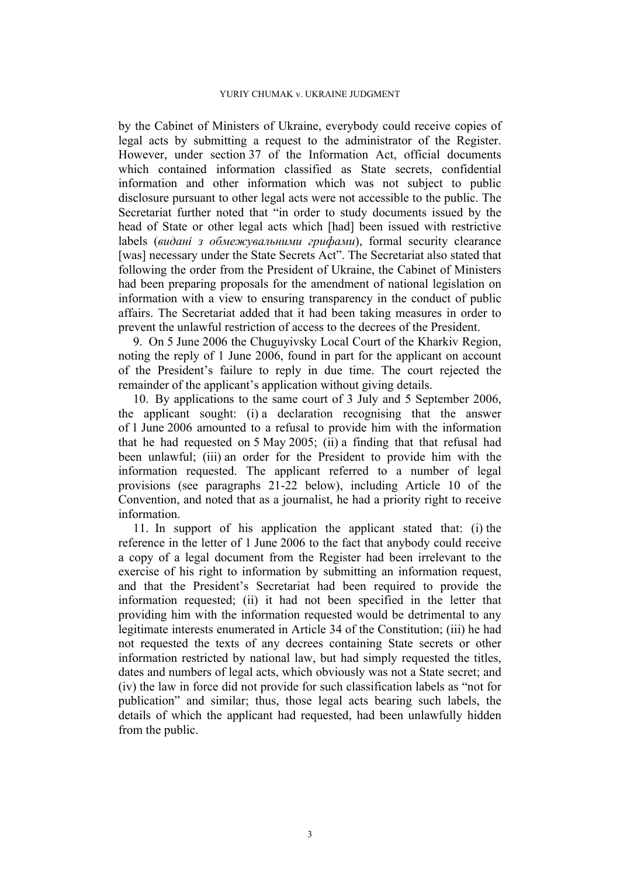by the Cabinet of Ministers of Ukraine, everybody could receive copies of legal acts by submitting a request to the administrator of the Register. However, under section 37 of the Information Act, official documents which contained information classified as State secrets, confidential information and other information which was not subject to public disclosure pursuant to other legal acts were not accessible to the public. The Secretariat further noted that "in order to study documents issued by the head of State or other legal acts which [had] been issued with restrictive labels (*видані з обмежувальними грифами*), formal security clearance [was] necessary under the State Secrets Act". The Secretariat also stated that following the order from the President of Ukraine, the Cabinet of Ministers had been preparing proposals for the amendment of national legislation on information with a view to ensuring transparency in the conduct of public affairs. The Secretariat added that it had been taking measures in order to prevent the unlawful restriction of access to the decrees of the President.

9. On 5 June 2006 the Chuguyivsky Local Court of the Kharkiv Region, noting the reply of 1 June 2006, found in part for the applicant on account of the President's failure to reply in due time. The court rejected the remainder of the applicant's application without giving details.

10. By applications to the same court of 3 July and 5 September 2006, the applicant sought: (i) a declaration recognising that the answer of 1 June 2006 amounted to a refusal to provide him with the information that he had requested on 5 May 2005; (ii) a finding that that refusal had been unlawful; (iii) an order for the President to provide him with the information requested. The applicant referred to a number of legal provisions (see paragraphs [21-](#page-7-0)[22](#page-8-0) below), including Article 10 of the Convention, and noted that as a journalist, he had a priority right to receive information.

11. In support of his application the applicant stated that: (i) the reference in the letter of 1 June 2006 to the fact that anybody could receive a copy of a legal document from the Register had been irrelevant to the exercise of his right to information by submitting an information request, and that the President's Secretariat had been required to provide the information requested; (ii) it had not been specified in the letter that providing him with the information requested would be detrimental to any legitimate interests enumerated in Article 34 of the Constitution; (iii) he had not requested the texts of any decrees containing State secrets or other information restricted by national law, but had simply requested the titles, dates and numbers of legal acts, which obviously was not a State secret; and (iv) the law in force did not provide for such classification labels as "not for publication" and similar; thus, those legal acts bearing such labels, the details of which the applicant had requested, had been unlawfully hidden from the public.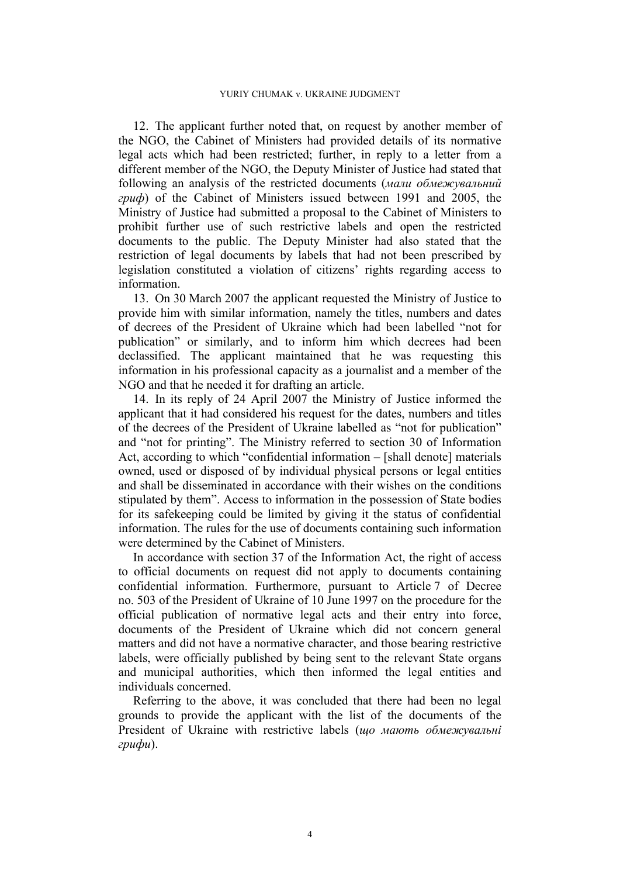12. The applicant further noted that, on request by another member of the NGO, the Cabinet of Ministers had provided details of its normative legal acts which had been restricted; further, in reply to a letter from a different member of the NGO, the Deputy Minister of Justice had stated that following an analysis of the restricted documents (*мали обмежувальний гриф*) of the Cabinet of Ministers issued between 1991 and 2005, the Ministry of Justice had submitted a proposal to the Cabinet of Ministers to prohibit further use of such restrictive labels and open the restricted documents to the public. The Deputy Minister had also stated that the restriction of legal documents by labels that had not been prescribed by legislation constituted a violation of citizens' rights regarding access to information.

13. On 30 March 2007 the applicant requested the Ministry of Justice to provide him with similar information, namely the titles, numbers and dates of decrees of the President of Ukraine which had been labelled "not for publication" or similarly, and to inform him which decrees had been declassified. The applicant maintained that he was requesting this information in his professional capacity as a journalist and a member of the NGO and that he needed it for drafting an article.

14. In its reply of 24 April 2007 the Ministry of Justice informed the applicant that it had considered his request for the dates, numbers and titles of the decrees of the President of Ukraine labelled as "not for publication" and "not for printing". The Ministry referred to section 30 of Information Act, according to which "confidential information – [shall denote] materials owned, used or disposed of by individual physical persons or legal entities and shall be disseminated in accordance with their wishes on the conditions stipulated by them". Access to information in the possession of State bodies for its safekeeping could be limited by giving it the status of confidential information. The rules for the use of documents containing such information were determined by the Cabinet of Ministers.

In accordance with section 37 of the Information Act, the right of access to official documents on request did not apply to documents containing confidential information. Furthermore, pursuant to Article 7 of Decree no. 503 of the President of Ukraine of 10 June 1997 on the procedure for the official publication of normative legal acts and their entry into force, documents of the President of Ukraine which did not concern general matters and did not have a normative character, and those bearing restrictive labels, were officially published by being sent to the relevant State organs and municipal authorities, which then informed the legal entities and individuals concerned.

Referring to the above, it was concluded that there had been no legal grounds to provide the applicant with the list of the documents of the President of Ukraine with restrictive labels (*що мають обмежувальні грифи*).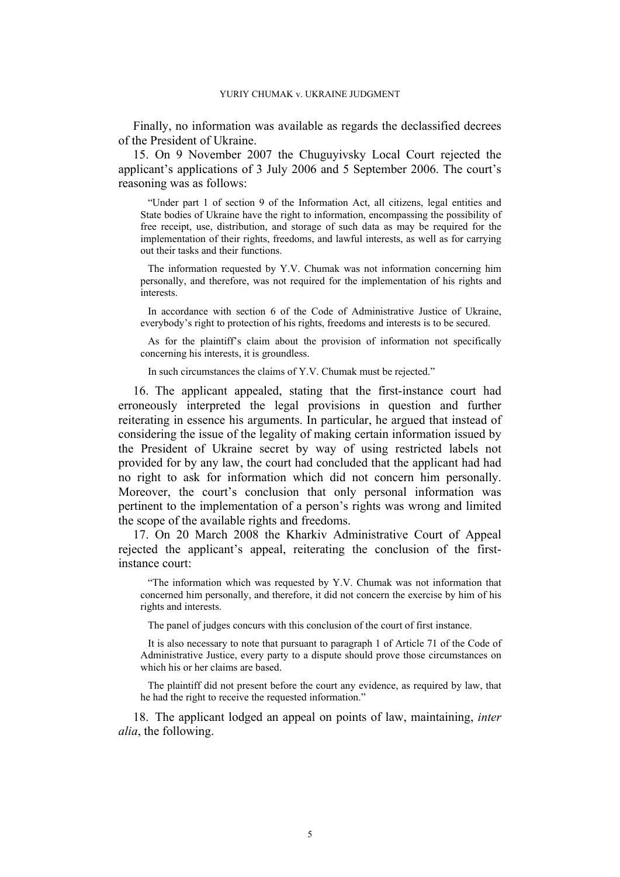Finally, no information was available as regards the declassified decrees of the President of Ukraine.

15. On 9 November 2007 the Chuguyivsky Local Court rejected the applicant's applications of 3 July 2006 and 5 September 2006. The court's reasoning was as follows:

"Under part 1 of section 9 of the Information Act, all citizens, legal entities and State bodies of Ukraine have the right to information, encompassing the possibility of free receipt, use, distribution, and storage of such data as may be required for the implementation of their rights, freedoms, and lawful interests, as well as for carrying out their tasks and their functions.

The information requested by Y.V. Chumak was not information concerning him personally, and therefore, was not required for the implementation of his rights and interests.

In accordance with section 6 of the Code of Administrative Justice of Ukraine, everybody's right to protection of his rights, freedoms and interests is to be secured.

As for the plaintiff's claim about the provision of information not specifically concerning his interests, it is groundless.

In such circumstances the claims of Y.V. Chumak must be rejected."

16. The applicant appealed, stating that the first-instance court had erroneously interpreted the legal provisions in question and further reiterating in essence his arguments. In particular, he argued that instead of considering the issue of the legality of making certain information issued by the President of Ukraine secret by way of using restricted labels not provided for by any law, the court had concluded that the applicant had had no right to ask for information which did not concern him personally. Moreover, the court's conclusion that only personal information was pertinent to the implementation of a person's rights was wrong and limited the scope of the available rights and freedoms.

17. On 20 March 2008 the Kharkiv Administrative Court of Appeal rejected the applicant's appeal, reiterating the conclusion of the firstinstance court:

"The information which was requested by Y.V. Chumak was not information that concerned him personally, and therefore, it did not concern the exercise by him of his rights and interests.

The panel of judges concurs with this conclusion of the court of first instance.

It is also necessary to note that pursuant to paragraph 1 of Article 71 of the Code of Administrative Justice, every party to a dispute should prove those circumstances on which his or her claims are based.

The plaintiff did not present before the court any evidence, as required by law, that he had the right to receive the requested information."

18. The applicant lodged an appeal on points of law, maintaining, *inter alia*, the following.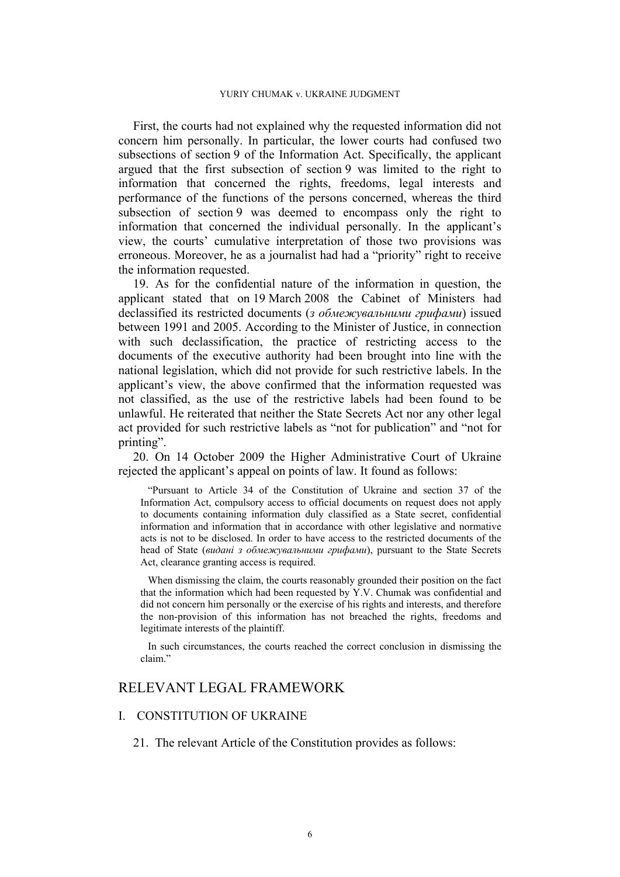First, the courts had not explained why the requested information did not concern him personally. In particular, the lower courts had confused two subsections of section 9 of the Information Act. Specifically, the applicant argued that the first subsection of section 9 was limited to the right to information that concerned the rights, freedoms, legal interests and performance of the functions of the persons concerned, whereas the third subsection of section 9 was deemed to encompass only the right to information that concerned the individual personally. In the applicant's view, the courts' cumulative interpretation of those two provisions was erroneous. Moreover, he as a journalist had had a "priority" right to receive the information requested.

19. As for the confidential nature of the information in question, the applicant stated that on 19 March 2008 the Cabinet of Ministers had declassified its restricted documents (*з обмежувальними грифами*) issued between 1991 and 2005. According to the Minister of Justice, in connection with such declassification, the practice of restricting access to the documents of the executive authority had been brought into line with the national legislation, which did not provide for such restrictive labels. In the applicant's view, the above confirmed that the information requested was not classified, as the use of the restrictive labels had been found to be unlawful. He reiterated that neither the State Secrets Act nor any other legal act provided for such restrictive labels as "not for publication" and "not for printing".

20. On 14 October 2009 the Higher Administrative Court of Ukraine rejected the applicant's appeal on points of law. It found as follows:

"Pursuant to Article 34 of the Constitution of Ukraine and section 37 of the Information Act, compulsory access to official documents on request does not apply to documents containing information duly classified as a State secret, confidential information and information that in accordance with other legislative and normative acts is not to be disclosed. In order to have access to the restricted documents of the head of State (*видані з обмежувальними грифами*), pursuant to the State Secrets Act, clearance granting access is required.

When dismissing the claim, the courts reasonably grounded their position on the fact that the information which had been requested by Y.V. Chumak was confidential and did not concern him personally or the exercise of his rights and interests, and therefore the non-provision of this information has not breached the rights, freedoms and legitimate interests of the plaintiff.

In such circumstances, the courts reached the correct conclusion in dismissing the claim."

## RELEVANT LEGAL FRAMEWORK

## I. CONSTITUTION OF UKRAINE

<span id="page-7-0"></span>21. The relevant Article of the Constitution provides as follows: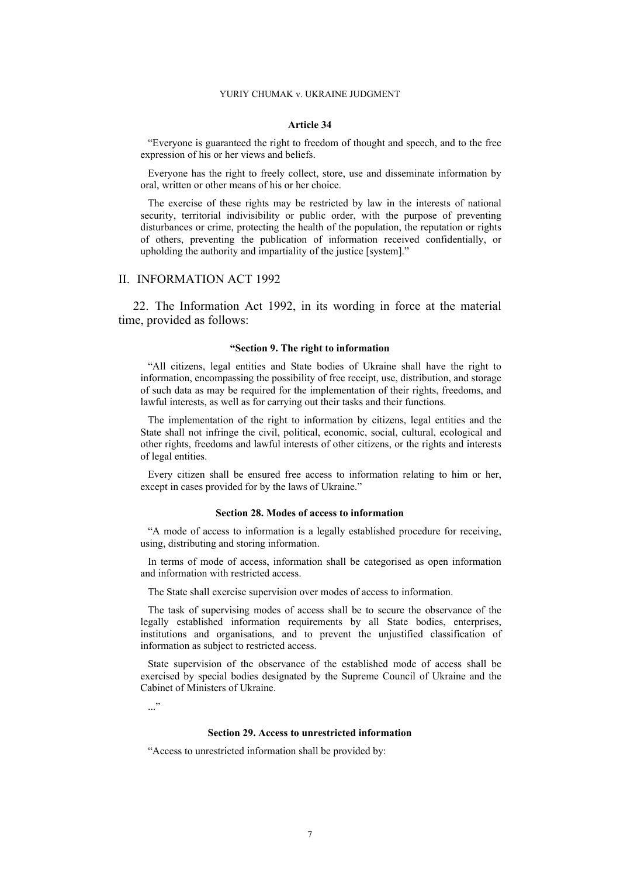#### **Article 34**

"Everyone is guaranteed the right to freedom of thought and speech, and to the free expression of his or her views and beliefs.

Everyone has the right to freely collect, store, use and disseminate information by oral, written or other means of his or her choice.

The exercise of these rights may be restricted by law in the interests of national security, territorial indivisibility or public order, with the purpose of preventing disturbances or crime, protecting the health of the population, the reputation or rights of others, preventing the publication of information received confidentially, or upholding the authority and impartiality of the justice [system]."

## II. INFORMATION ACT 1992

<span id="page-8-0"></span>22. The Information Act 1992, in its wording in force at the material time, provided as follows:

### **"Section 9. The right to information**

"All citizens, legal entities and State bodies of Ukraine shall have the right to information, encompassing the possibility of free receipt, use, distribution, and storage of such data as may be required for the implementation of their rights, freedoms, and lawful interests, as well as for carrying out their tasks and their functions.

The implementation of the right to information by citizens, legal entities and the State shall not infringe the civil, political, economic, social, cultural, ecological and other rights, freedoms and lawful interests of other citizens, or the rights and interests of legal entities.

Every citizen shall be ensured free access to information relating to him or her, except in cases provided for by the laws of Ukraine."

#### **Section 28. Modes of access to information**

"A mode of access to information is a legally established procedure for receiving, using, distributing and storing information.

In terms of mode of access, information shall be categorised as open information and information with restricted access.

The State shall exercise supervision over modes of access to information.

The task of supervising modes of access shall be to secure the observance of the legally established information requirements by all State bodies, enterprises, institutions and organisations, and to prevent the unjustified classification of information as subject to restricted access.

State supervision of the observance of the established mode of access shall be exercised by special bodies designated by the Supreme Council of Ukraine and the Cabinet of Ministers of Ukraine.

 $\cdot$ ..."

#### **Section 29. Access to unrestricted information**

"Access to unrestricted information shall be provided by: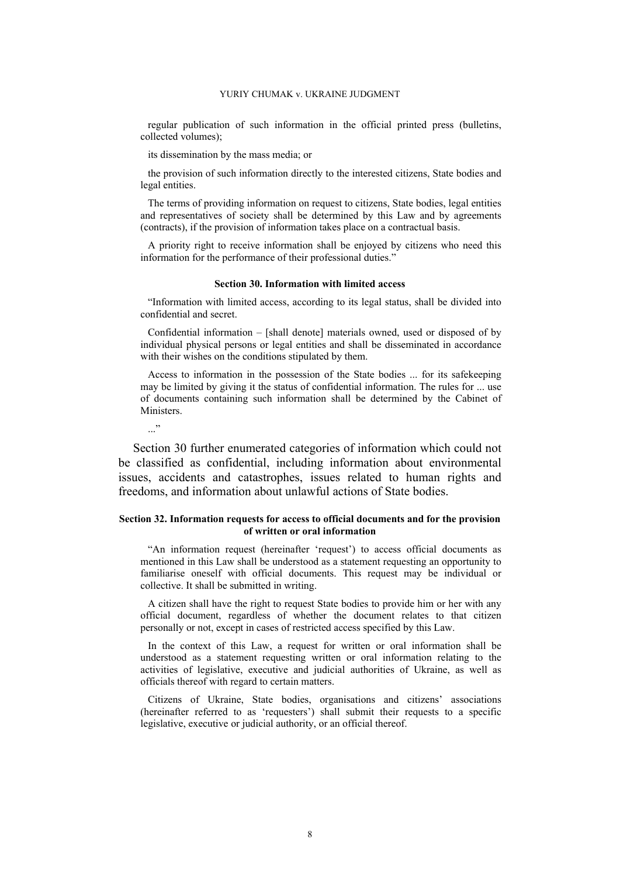regular publication of such information in the official printed press (bulletins, collected volumes);

its dissemination by the mass media; or

the provision of such information directly to the interested citizens, State bodies and legal entities.

The terms of providing information on request to citizens, State bodies, legal entities and representatives of society shall be determined by this Law and by agreements (contracts), if the provision of information takes place on a contractual basis.

A priority right to receive information shall be enjoyed by citizens who need this information for the performance of their professional duties."

### **Section 30. Information with limited access**

"Information with limited access, according to its legal status, shall be divided into confidential and secret.

Confidential information – [shall denote] materials owned, used or disposed of by individual physical persons or legal entities and shall be disseminated in accordance with their wishes on the conditions stipulated by them.

Access to information in the possession of the State bodies ... for its safekeeping may be limited by giving it the status of confidential information. The rules for ... use of documents containing such information shall be determined by the Cabinet of Ministers.

 $\cdot$ ..."

Section 30 further enumerated categories of information which could not be classified as confidential, including information about environmental issues, accidents and catastrophes, issues related to human rights and freedoms, and information about unlawful actions of State bodies.

### **Section 32. Information requests for access to official documents and for the provision of written or oral information**

"An information request (hereinafter 'request') to access official documents as mentioned in this Law shall be understood as a statement requesting an opportunity to familiarise oneself with official documents. This request may be individual or collective. It shall be submitted in writing.

A citizen shall have the right to request State bodies to provide him or her with any official document, regardless of whether the document relates to that citizen personally or not, except in cases of restricted access specified by this Law.

In the context of this Law, a request for written or oral information shall be understood as a statement requesting written or oral information relating to the activities of legislative, executive and judicial authorities of Ukraine, as well as officials thereof with regard to certain matters.

Citizens of Ukraine, State bodies, organisations and citizens' associations (hereinafter referred to as 'requesters') shall submit their requests to a specific legislative, executive or judicial authority, or an official thereof.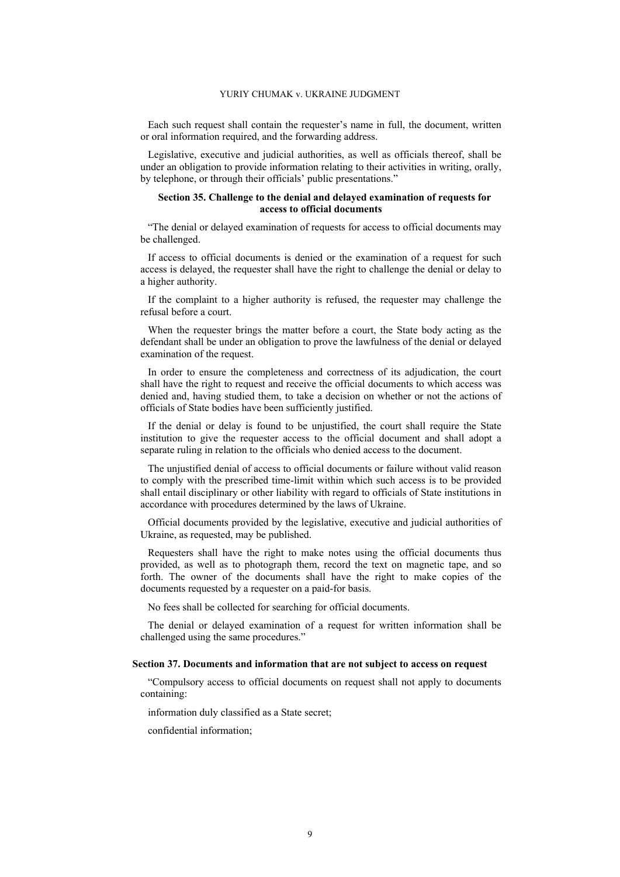Each such request shall contain the requester's name in full, the document, written or oral information required, and the forwarding address.

Legislative, executive and judicial authorities, as well as officials thereof, shall be under an obligation to provide information relating to their activities in writing, orally, by telephone, or through their officials' public presentations."

### **Section 35. Challenge to the denial and delayed examination of requests for access to official documents**

"The denial or delayed examination of requests for access to official documents may be challenged.

If access to official documents is denied or the examination of a request for such access is delayed, the requester shall have the right to challenge the denial or delay to a higher authority.

If the complaint to a higher authority is refused, the requester may challenge the refusal before a court.

When the requester brings the matter before a court, the State body acting as the defendant shall be under an obligation to prove the lawfulness of the denial or delayed examination of the request.

In order to ensure the completeness and correctness of its adjudication, the court shall have the right to request and receive the official documents to which access was denied and, having studied them, to take a decision on whether or not the actions of officials of State bodies have been sufficiently justified.

If the denial or delay is found to be unjustified, the court shall require the State institution to give the requester access to the official document and shall adopt a separate ruling in relation to the officials who denied access to the document.

The unjustified denial of access to official documents or failure without valid reason to comply with the prescribed time-limit within which such access is to be provided shall entail disciplinary or other liability with regard to officials of State institutions in accordance with procedures determined by the laws of Ukraine.

Official documents provided by the legislative, executive and judicial authorities of Ukraine, as requested, may be published.

Requesters shall have the right to make notes using the official documents thus provided, as well as to photograph them, record the text on magnetic tape, and so forth. The owner of the documents shall have the right to make copies of the documents requested by a requester on a paid-for basis.

No fees shall be collected for searching for official documents.

The denial or delayed examination of a request for written information shall be challenged using the same procedures."

#### **Section 37. Documents and information that are not subject to access on request**

"Compulsory access to official documents on request shall not apply to documents containing:

information duly classified as a State secret;

confidential information;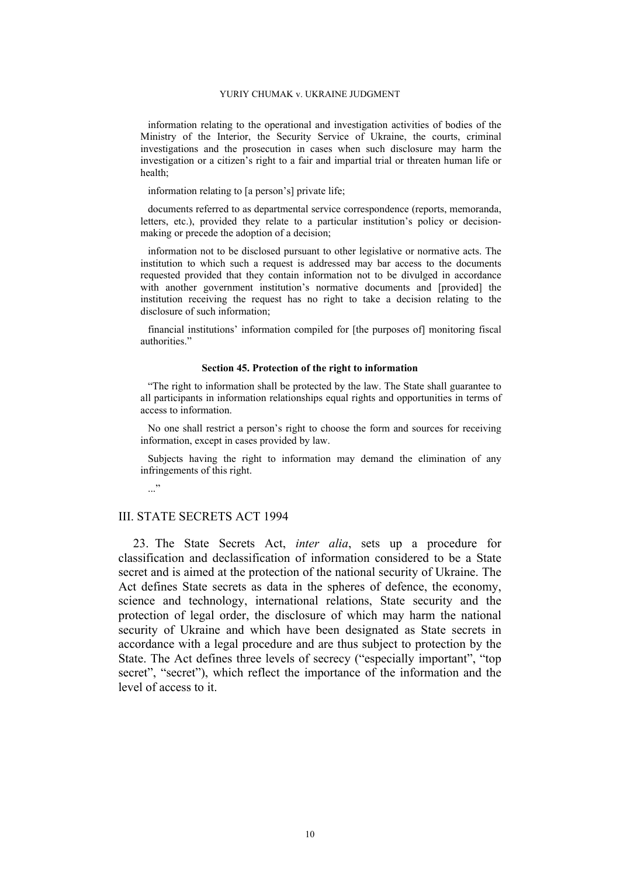information relating to the operational and investigation activities of bodies of the Ministry of the Interior, the Security Service of Ukraine, the courts, criminal investigations and the prosecution in cases when such disclosure may harm the investigation or a citizen's right to a fair and impartial trial or threaten human life or health;

information relating to [a person's] private life;

documents referred to as departmental service correspondence (reports, memoranda, letters, etc.), provided they relate to a particular institution's policy or decisionmaking or precede the adoption of a decision;

information not to be disclosed pursuant to other legislative or normative acts. The institution to which such a request is addressed may bar access to the documents requested provided that they contain information not to be divulged in accordance with another government institution's normative documents and [provided] the institution receiving the request has no right to take a decision relating to the disclosure of such information;

financial institutions' information compiled for [the purposes of] monitoring fiscal authorities."

#### **Section 45. Protection of the right to information**

"The right to information shall be protected by the law. The State shall guarantee to all participants in information relationships equal rights and opportunities in terms of access to information.

No one shall restrict a person's right to choose the form and sources for receiving information, except in cases provided by law.

Subjects having the right to information may demand the elimination of any infringements of this right.

 $\ldots$ "

### III. STATE SECRETS ACT 1994

23. The State Secrets Act, *inter alia*, sets up a procedure for classification and declassification of information considered to be a State secret and is aimed at the protection of the national security of Ukraine. The Act defines State secrets as data in the spheres of defence, the economy, science and technology, international relations, State security and the protection of legal order, the disclosure of which may harm the national security of Ukraine and which have been designated as State secrets in accordance with a legal procedure and are thus subject to protection by the State. The Act defines three levels of secrecy ("especially important", "top secret", "secret"), which reflect the importance of the information and the level of access to it.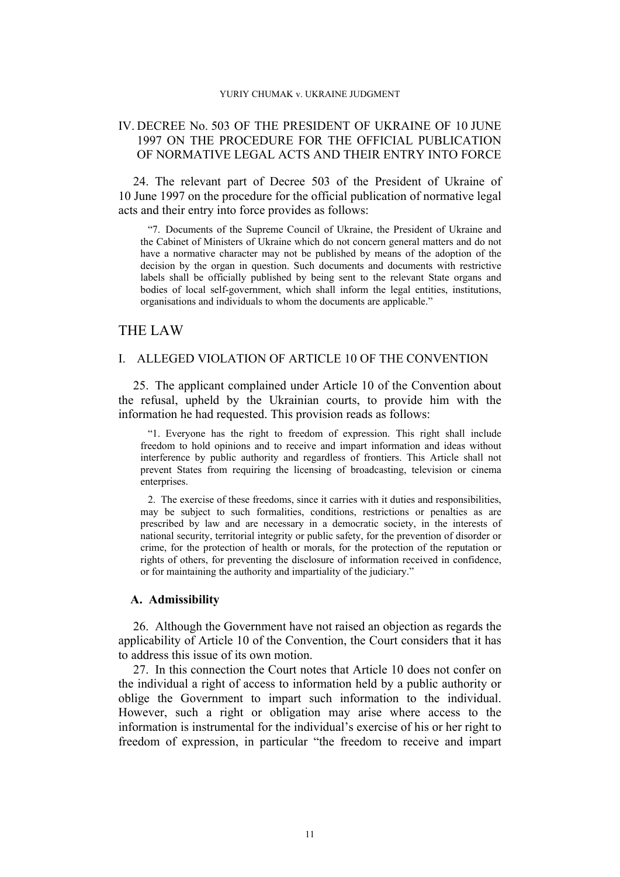## IV. DECREE No. 503 OF THE PRESIDENT OF UKRAINE OF 10 JUNE 1997 ON THE PROCEDURE FOR THE OFFICIAL PUBLICATION OF NORMATIVE LEGAL ACTS AND THEIR ENTRY INTO FORCE

24. The relevant part of Decree 503 of the President of Ukraine of 10 June 1997 on the procedure for the official publication of normative legal acts and their entry into force provides as follows:

"7. Documents of the Supreme Council of Ukraine, the President of Ukraine and the Cabinet of Ministers of Ukraine which do not concern general matters and do not have a normative character may not be published by means of the adoption of the decision by the organ in question. Such documents and documents with restrictive labels shall be officially published by being sent to the relevant State organs and bodies of local self-government, which shall inform the legal entities, institutions, organisations and individuals to whom the documents are applicable."

## THE LAW

## I. ALLEGED VIOLATION OF ARTICLE 10 OF THE CONVENTION

25. The applicant complained under Article 10 of the Convention about the refusal, upheld by the Ukrainian courts, to provide him with the information he had requested. This provision reads as follows:

"1. Everyone has the right to freedom of expression. This right shall include freedom to hold opinions and to receive and impart information and ideas without interference by public authority and regardless of frontiers. This Article shall not prevent States from requiring the licensing of broadcasting, television or cinema enterprises.

2. The exercise of these freedoms, since it carries with it duties and responsibilities, may be subject to such formalities, conditions, restrictions or penalties as are prescribed by law and are necessary in a democratic society, in the interests of national security, territorial integrity or public safety, for the prevention of disorder or crime, for the protection of health or morals, for the protection of the reputation or rights of others, for preventing the disclosure of information received in confidence, or for maintaining the authority and impartiality of the judiciary."

## **A. Admissibility**

<span id="page-12-0"></span>26. Although the Government have not raised an objection as regards the applicability of Article 10 of the Convention, the Court considers that it has to address this issue of its own motion.

27. In this connection the Court notes that Article 10 does not confer on the individual a right of access to information held by a public authority or oblige the Government to impart such information to the individual. However, such a right or obligation may arise where access to the information is instrumental for the individual's exercise of his or her right to freedom of expression, in particular "the freedom to receive and impart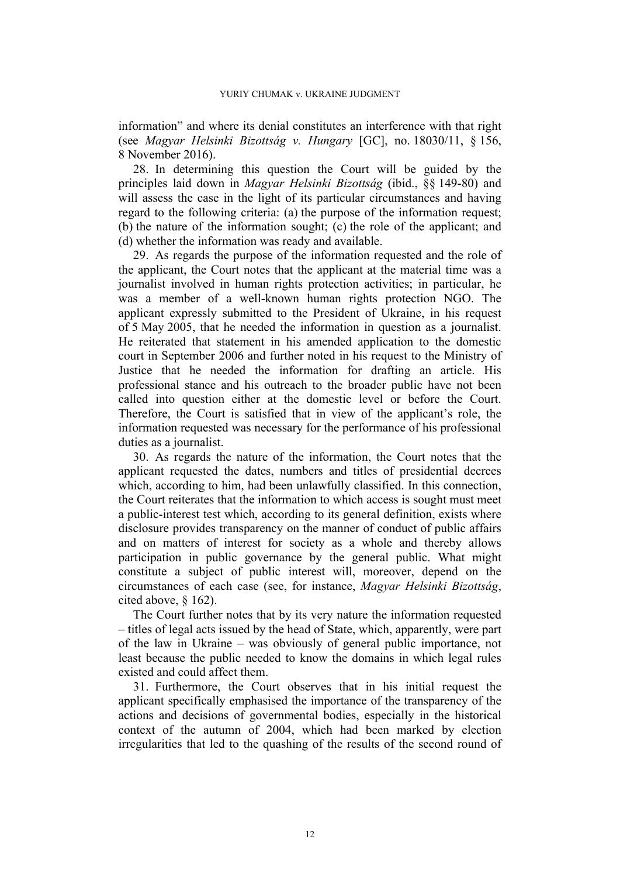information" and where its denial constitutes an interference with that right (see *Magyar Helsinki Bizottság v. Hungary* [GC], no. 18030/11, § 156, 8 November 2016).

28. In determining this question the Court will be guided by the principles laid down in *Magyar Helsinki Bizottság* (ibid., §§ 149-80) and will assess the case in the light of its particular circumstances and having regard to the following criteria: (a) the purpose of the information request; (b) the nature of the information sought; (c) the role of the applicant; and (d) whether the information was ready and available.

29. As regards the purpose of the information requested and the role of the applicant, the Court notes that the applicant at the material time was a journalist involved in human rights protection activities; in particular, he was a member of a well-known human rights protection NGO. The applicant expressly submitted to the President of Ukraine, in his request of 5 May 2005, that he needed the information in question as a journalist. He reiterated that statement in his amended application to the domestic court in September 2006 and further noted in his request to the Ministry of Justice that he needed the information for drafting an article. His professional stance and his outreach to the broader public have not been called into question either at the domestic level or before the Court. Therefore, the Court is satisfied that in view of the applicant's role, the information requested was necessary for the performance of his professional duties as a journalist.

30. As regards the nature of the information, the Court notes that the applicant requested the dates, numbers and titles of presidential decrees which, according to him, had been unlawfully classified. In this connection, the Court reiterates that the information to which access is sought must meet a public-interest test which, according to its general definition, exists where disclosure provides transparency on the manner of conduct of public affairs and on matters of interest for society as a whole and thereby allows participation in public governance by the general public. What might constitute a subject of public interest will, moreover, depend on the circumstances of each case (see, for instance, *Magyar Helsinki Bizottság*, cited above, § 162).

The Court further notes that by its very nature the information requested – titles of legal acts issued by the head of State, which, apparently, were part of the law in Ukraine – was obviously of general public importance, not least because the public needed to know the domains in which legal rules existed and could affect them.

31. Furthermore, the Court observes that in his initial request the applicant specifically emphasised the importance of the transparency of the actions and decisions of governmental bodies, especially in the historical context of the autumn of 2004, which had been marked by election irregularities that led to the quashing of the results of the second round of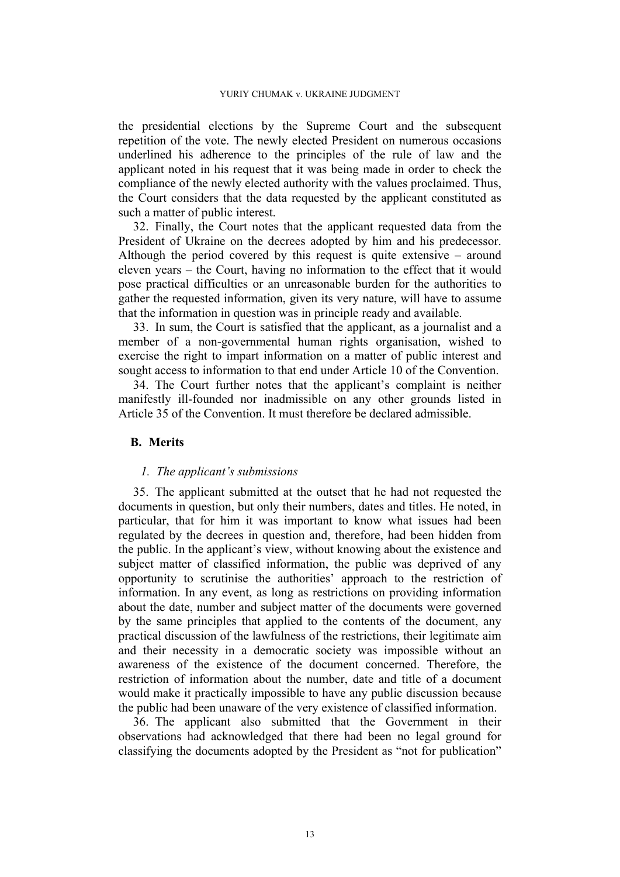the presidential elections by the Supreme Court and the subsequent repetition of the vote. The newly elected President on numerous occasions underlined his adherence to the principles of the rule of law and the applicant noted in his request that it was being made in order to check the compliance of the newly elected authority with the values proclaimed. Thus, the Court considers that the data requested by the applicant constituted as such a matter of public interest.

<span id="page-14-0"></span>32. Finally, the Court notes that the applicant requested data from the President of Ukraine on the decrees adopted by him and his predecessor. Although the period covered by this request is quite extensive – around eleven years – the Court, having no information to the effect that it would pose practical difficulties or an unreasonable burden for the authorities to gather the requested information, given its very nature, will have to assume that the information in question was in principle ready and available.

33. In sum, the Court is satisfied that the applicant, as a journalist and a member of a non-governmental human rights organisation, wished to exercise the right to impart information on a matter of public interest and sought access to information to that end under Article 10 of the Convention.

34. The Court further notes that the applicant's complaint is neither manifestly ill-founded nor inadmissible on any other grounds listed in Article 35 of the Convention. It must therefore be declared admissible.

## **B. Merits**

## *1. The applicant's submissions*

35. The applicant submitted at the outset that he had not requested the documents in question, but only their numbers, dates and titles. He noted, in particular, that for him it was important to know what issues had been regulated by the decrees in question and, therefore, had been hidden from the public. In the applicant's view, without knowing about the existence and subject matter of classified information, the public was deprived of any opportunity to scrutinise the authorities' approach to the restriction of information. In any event, as long as restrictions on providing information about the date, number and subject matter of the documents were governed by the same principles that applied to the contents of the document, any practical discussion of the lawfulness of the restrictions, their legitimate aim and their necessity in a democratic society was impossible without an awareness of the existence of the document concerned. Therefore, the restriction of information about the number, date and title of a document would make it practically impossible to have any public discussion because the public had been unaware of the very existence of classified information.

36. The applicant also submitted that the Government in their observations had acknowledged that there had been no legal ground for classifying the documents adopted by the President as "not for publication"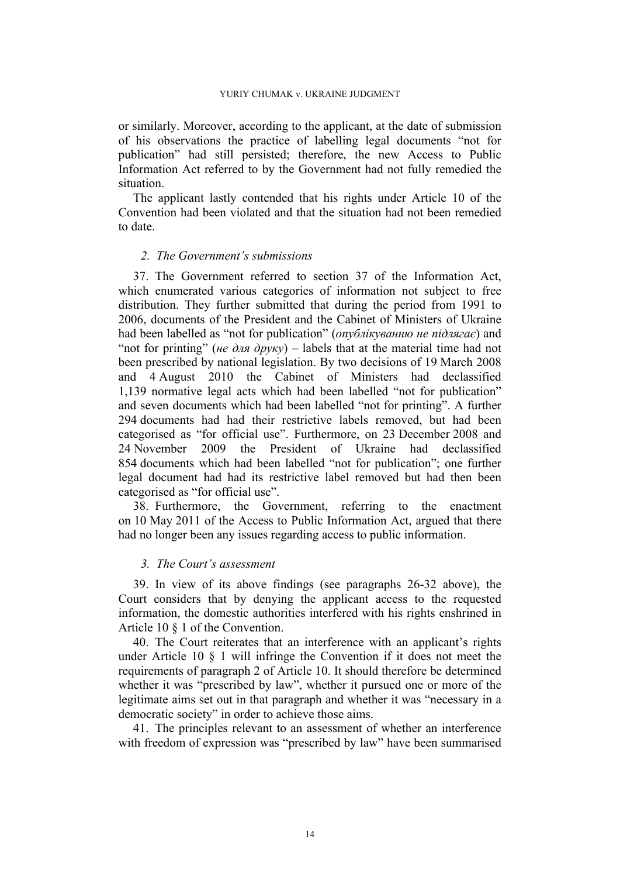or similarly. Moreover, according to the applicant, at the date of submission of his observations the practice of labelling legal documents "not for publication" had still persisted; therefore, the new Access to Public Information Act referred to by the Government had not fully remedied the situation.

The applicant lastly contended that his rights under Article 10 of the Convention had been violated and that the situation had not been remedied to date.

## *2. The Government's submissions*

<span id="page-15-0"></span>37. The Government referred to section 37 of the Information Act, which enumerated various categories of information not subject to free distribution. They further submitted that during the period from 1991 to 2006, documents of the President and the Cabinet of Ministers of Ukraine had been labelled as "not for publication" (*опублікуванню не підлягає*) and "not for printing" (*не* для  $\partial p v k v$ ) – labels that at the material time had not been prescribed by national legislation. By two decisions of 19 March 2008 and 4 August 2010 the Cabinet of Ministers had declassified 1,139 normative legal acts which had been labelled "not for publication" and seven documents which had been labelled "not for printing". A further 294 documents had had their restrictive labels removed, but had been categorised as "for official use". Furthermore, on 23 December 2008 and 24 November 2009 the President of Ukraine had declassified 854 documents which had been labelled "not for publication"; one further legal document had had its restrictive label removed but had then been categorised as "for official use".

38. Furthermore, the Government, referring to the enactment on 10 May 2011 of the Access to Public Information Act, argued that there had no longer been any issues regarding access to public information.

## *3. The Court's assessment*

39. In view of its above findings (see paragraphs [26](#page-12-0)[-32](#page-14-0) above), the Court considers that by denying the applicant access to the requested information, the domestic authorities interfered with his rights enshrined in Article 10 § 1 of the Convention.

40. The Court reiterates that an interference with an applicant's rights under Article 10 § 1 will infringe the Convention if it does not meet the requirements of paragraph 2 of Article 10. It should therefore be determined whether it was "prescribed by law", whether it pursued one or more of the legitimate aims set out in that paragraph and whether it was "necessary in a democratic society" in order to achieve those aims.

41. The principles relevant to an assessment of whether an interference with freedom of expression was "prescribed by law" have been summarised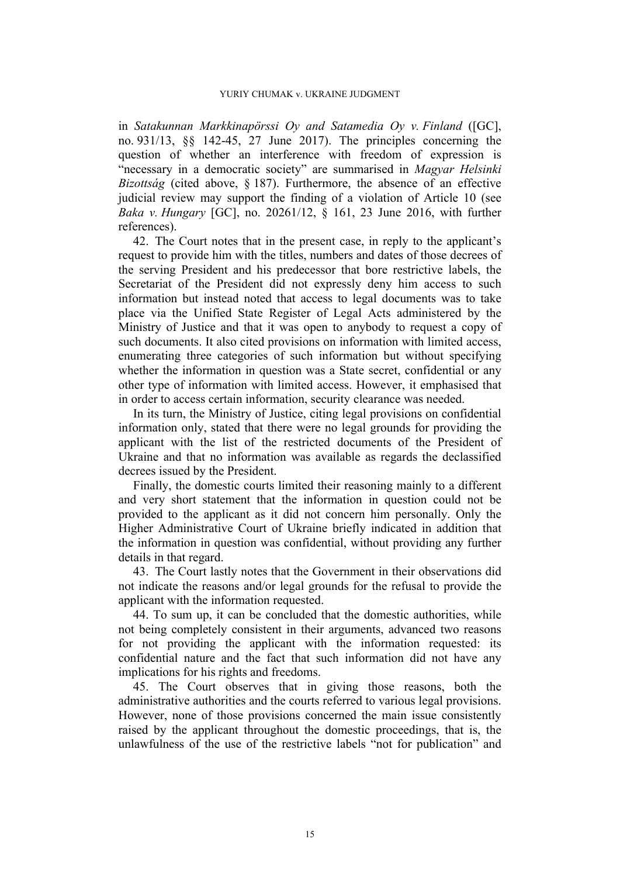in *Satakunnan Markkinapörssi Oy and Satamedia Oy v. Finland* ([GC], no. 931/13, §§ 142-45, 27 June 2017). The principles concerning the question of whether an interference with freedom of expression is "necessary in a democratic society" are summarised in *Magyar Helsinki Bizottság* (cited above, § 187). Furthermore, the absence of an effective judicial review may support the finding of a violation of Article 10 (see *Baka v. Hungary* [GC], no. 20261/12, § 161, 23 June 2016, with further references).

42. The Court notes that in the present case, in reply to the applicant's request to provide him with the titles, numbers and dates of those decrees of the serving President and his predecessor that bore restrictive labels, the Secretariat of the President did not expressly deny him access to such information but instead noted that access to legal documents was to take place via the Unified State Register of Legal Acts administered by the Ministry of Justice and that it was open to anybody to request a copy of such documents. It also cited provisions on information with limited access, enumerating three categories of such information but without specifying whether the information in question was a State secret, confidential or any other type of information with limited access. However, it emphasised that in order to access certain information, security clearance was needed.

In its turn, the Ministry of Justice, citing legal provisions on confidential information only, stated that there were no legal grounds for providing the applicant with the list of the restricted documents of the President of Ukraine and that no information was available as regards the declassified decrees issued by the President.

Finally, the domestic courts limited their reasoning mainly to a different and very short statement that the information in question could not be provided to the applicant as it did not concern him personally. Only the Higher Administrative Court of Ukraine briefly indicated in addition that the information in question was confidential, without providing any further details in that regard.

43. The Court lastly notes that the Government in their observations did not indicate the reasons and/or legal grounds for the refusal to provide the applicant with the information requested.

44. To sum up, it can be concluded that the domestic authorities, while not being completely consistent in their arguments, advanced two reasons for not providing the applicant with the information requested: its confidential nature and the fact that such information did not have any implications for his rights and freedoms.

45. The Court observes that in giving those reasons, both the administrative authorities and the courts referred to various legal provisions. However, none of those provisions concerned the main issue consistently raised by the applicant throughout the domestic proceedings, that is, the unlawfulness of the use of the restrictive labels "not for publication" and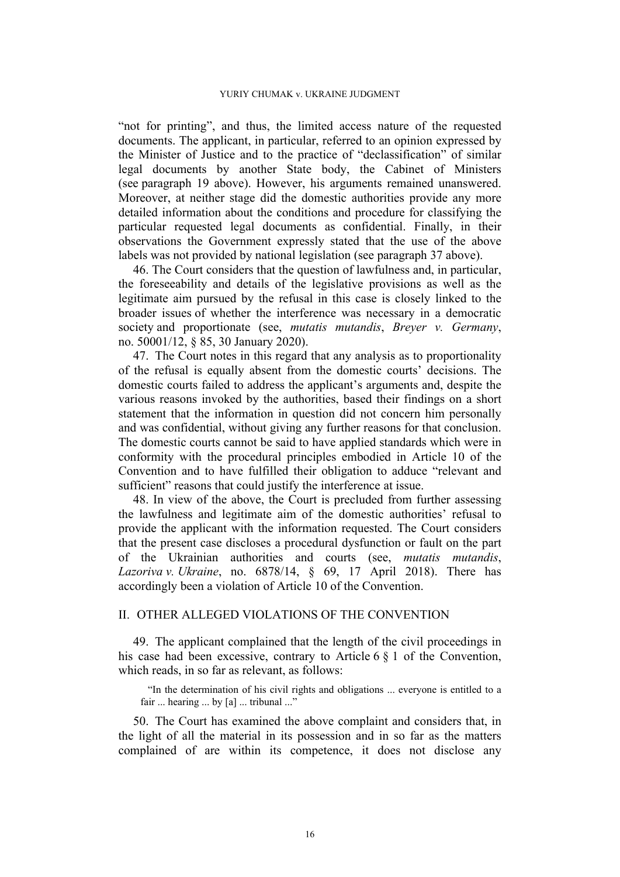"not for printing", and thus, the limited access nature of the requested documents. The applicant, in particular, referred to an opinion expressed by the Minister of Justice and to the practice of "declassification" of similar legal documents by another State body, the Cabinet of Ministers (see paragraph 19 above). However, his arguments remained unanswered. Moreover, at neither stage did the domestic authorities provide any more detailed information about the conditions and procedure for classifying the particular requested legal documents as confidential. Finally, in their observations the Government expressly stated that the use of the above labels was not provided by national legislation (see paragraph [37](#page-15-0) above).

46. The Court considers that the question of lawfulness and, in particular, the foreseeability and details of the legislative provisions as well as the legitimate aim pursued by the refusal in this case is closely linked to the broader issues of whether the interference was necessary in a democratic society and proportionate (see, *mutatis mutandis*, *Breyer v. Germany*, no. 50001/12, § 85, 30 January 2020).

47. The Court notes in this regard that any analysis as to proportionality of the refusal is equally absent from the domestic courts' decisions. The domestic courts failed to address the applicant's arguments and, despite the various reasons invoked by the authorities, based their findings on a short statement that the information in question did not concern him personally and was confidential, without giving any further reasons for that conclusion. The domestic courts cannot be said to have applied standards which were in conformity with the procedural principles embodied in Article 10 of the Convention and to have fulfilled their obligation to adduce "relevant and sufficient" reasons that could justify the interference at issue.

48. In view of the above, the Court is precluded from further assessing the lawfulness and legitimate aim of the domestic authorities' refusal to provide the applicant with the information requested. The Court considers that the present case discloses a procedural dysfunction or fault on the part of the Ukrainian authorities and courts (see, *mutatis mutandis*, *Lazoriva v. Ukraine*, no. 6878/14, § 69, 17 April 2018). There has accordingly been a violation of Article 10 of the Convention.

## II. OTHER ALLEGED VIOLATIONS OF THE CONVENTION

49. The applicant complained that the length of the civil proceedings in his case had been excessive, contrary to Article 6 § 1 of the Convention, which reads, in so far as relevant, as follows:

"In the determination of his civil rights and obligations ... everyone is entitled to a fair ... hearing ... by [a] ... tribunal ..."

50. The Court has examined the above complaint and considers that, in the light of all the material in its possession and in so far as the matters complained of are within its competence, it does not disclose any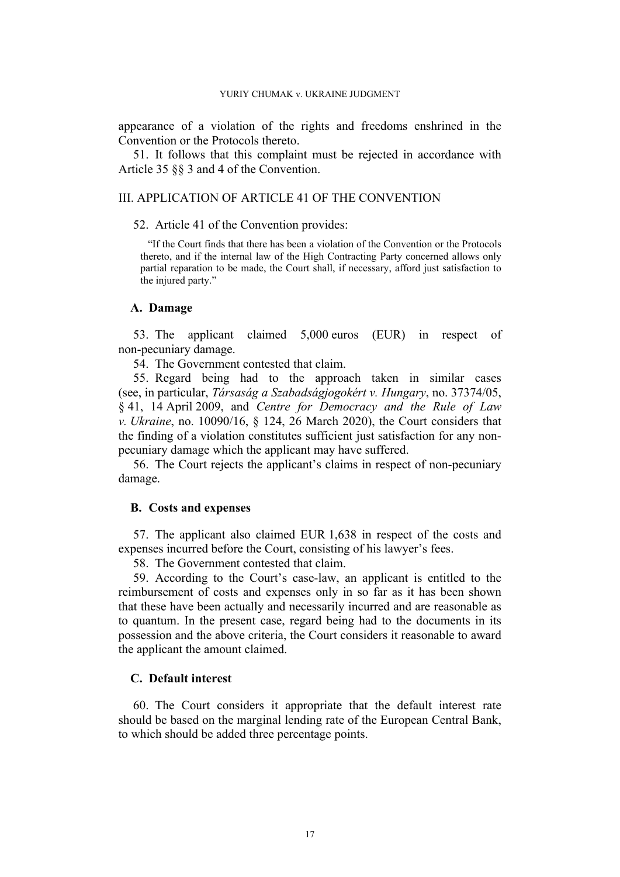appearance of a violation of the rights and freedoms enshrined in the Convention or the Protocols thereto.

51. It follows that this complaint must be rejected in accordance with Article 35 §§ 3 and 4 of the Convention.

### III. APPLICATION OF ARTICLE 41 OF THE CONVENTION

52. Article 41 of the Convention provides:

"If the Court finds that there has been a violation of the Convention or the Protocols thereto, and if the internal law of the High Contracting Party concerned allows only partial reparation to be made, the Court shall, if necessary, afford just satisfaction to the injured party."

### **A. Damage**

53. The applicant claimed 5,000 euros (EUR) in respect of non-pecuniary damage.

54. The Government contested that claim.

55. Regard being had to the approach taken in similar cases (see, in particular, *Társaság a Szabadságjogokért v. Hungary*, no. 37374/05, § 41, 14 April 2009, and *Centre for Democracy and the Rule of Law v. Ukraine*, no. 10090/16, § 124, 26 March 2020), the Court considers that the finding of a violation constitutes sufficient just satisfaction for any nonpecuniary damage which the applicant may have suffered.

56. The Court rejects the applicant's claims in respect of non-pecuniary damage.

## **B. Costs and expenses**

57. The applicant also claimed EUR 1,638 in respect of the costs and expenses incurred before the Court, consisting of his lawyer's fees.

58. The Government contested that claim.

59. According to the Court's case-law, an applicant is entitled to the reimbursement of costs and expenses only in so far as it has been shown that these have been actually and necessarily incurred and are reasonable as to quantum. In the present case, regard being had to the documents in its possession and the above criteria, the Court considers it reasonable to award the applicant the amount claimed.

## **C. Default interest**

60. The Court considers it appropriate that the default interest rate should be based on the marginal lending rate of the European Central Bank, to which should be added three percentage points.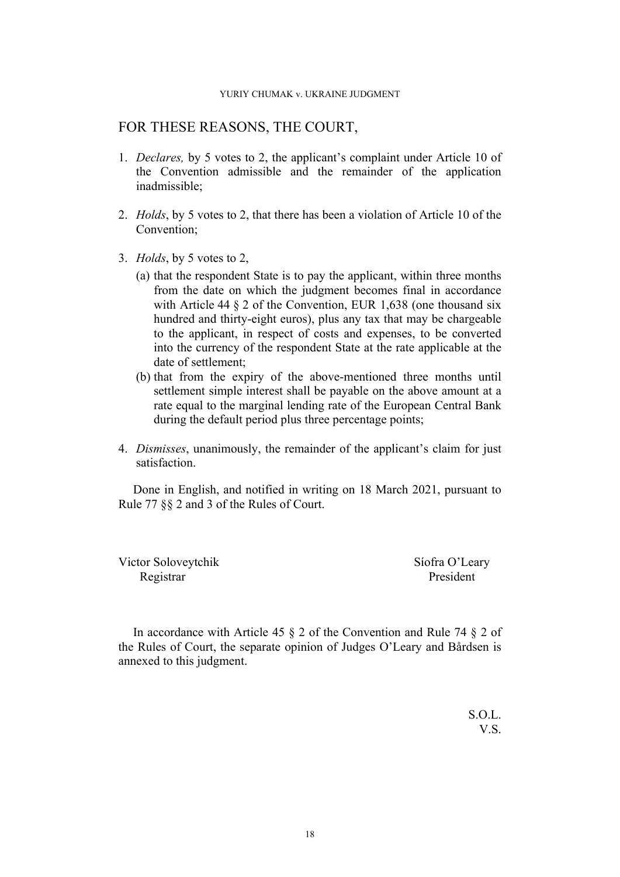# FOR THESE REASONS, THE COURT,

- 1. *Declares,* by 5 votes to 2, the applicant's complaint under Article 10 of the Convention admissible and the remainder of the application inadmissible;
- 2. *Holds*, by 5 votes to 2, that there has been a violation of Article 10 of the Convention;
- 3. *Holds*, by 5 votes to 2,
	- (a) that the respondent State is to pay the applicant, within three months from the date on which the judgment becomes final in accordance with Article 44 § 2 of the Convention, EUR 1,638 (one thousand six hundred and thirty-eight euros), plus any tax that may be chargeable to the applicant, in respect of costs and expenses, to be converted into the currency of the respondent State at the rate applicable at the date of settlement;
	- (b) that from the expiry of the above-mentioned three months until settlement simple interest shall be payable on the above amount at a rate equal to the marginal lending rate of the European Central Bank during the default period plus three percentage points;
- 4. *Dismisses*, unanimously, the remainder of the applicant's claim for just satisfaction.

Done in English, and notified in writing on 18 March 2021, pursuant to Rule 77 §§ 2 and 3 of the Rules of Court.

Victor Soloveytchik Síofra O'Leary Registrar President

In accordance with Article 45 § 2 of the Convention and Rule 74 § 2 of the Rules of Court, the separate opinion of Judges O'Leary and Bårdsen is annexed to this judgment.

> S.O.L. V.S.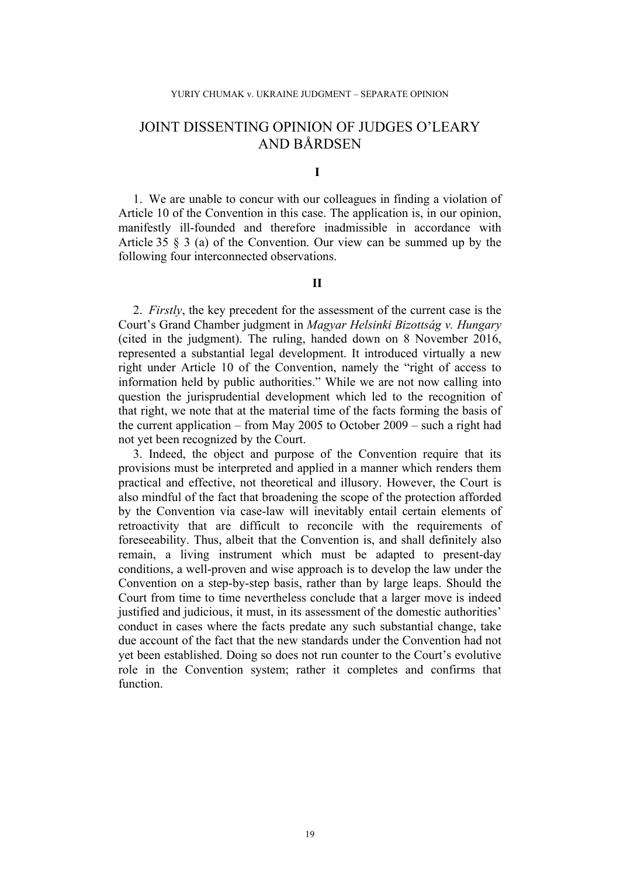# JOINT DISSENTING OPINION OF JUDGES O'LEARY AND BÅRDSEN

## **I**

1. We are unable to concur with our colleagues in finding a violation of Article 10 of the Convention in this case. The application is, in our opinion, manifestly ill-founded and therefore inadmissible in accordance with Article 35 § 3 (a) of the Convention. Our view can be summed up by the following four interconnected observations.

## **II**

2. *Firstly*, the key precedent for the assessment of the current case is the Court's Grand Chamber judgment in *Magyar Helsinki Bizottság v. Hungary* (cited in the judgment). The ruling, handed down on 8 November 2016, represented a substantial legal development. It introduced virtually a new right under Article 10 of the Convention, namely the "right of access to information held by public authorities." While we are not now calling into question the jurisprudential development which led to the recognition of that right, we note that at the material time of the facts forming the basis of the current application – from May 2005 to October 2009 – such a right had not yet been recognized by the Court.

3. Indeed, the object and purpose of the Convention require that its provisions must be interpreted and applied in a manner which renders them practical and effective, not theoretical and illusory. However, the Court is also mindful of the fact that broadening the scope of the protection afforded by the Convention via case-law will inevitably entail certain elements of retroactivity that are difficult to reconcile with the requirements of foreseeability. Thus, albeit that the Convention is, and shall definitely also remain, a living instrument which must be adapted to present-day conditions, a well-proven and wise approach is to develop the law under the Convention on a step-by-step basis, rather than by large leaps. Should the Court from time to time nevertheless conclude that a larger move is indeed justified and judicious, it must, in its assessment of the domestic authorities' conduct in cases where the facts predate any such substantial change, take due account of the fact that the new standards under the Convention had not yet been established. Doing so does not run counter to the Court's evolutive role in the Convention system; rather it completes and confirms that function.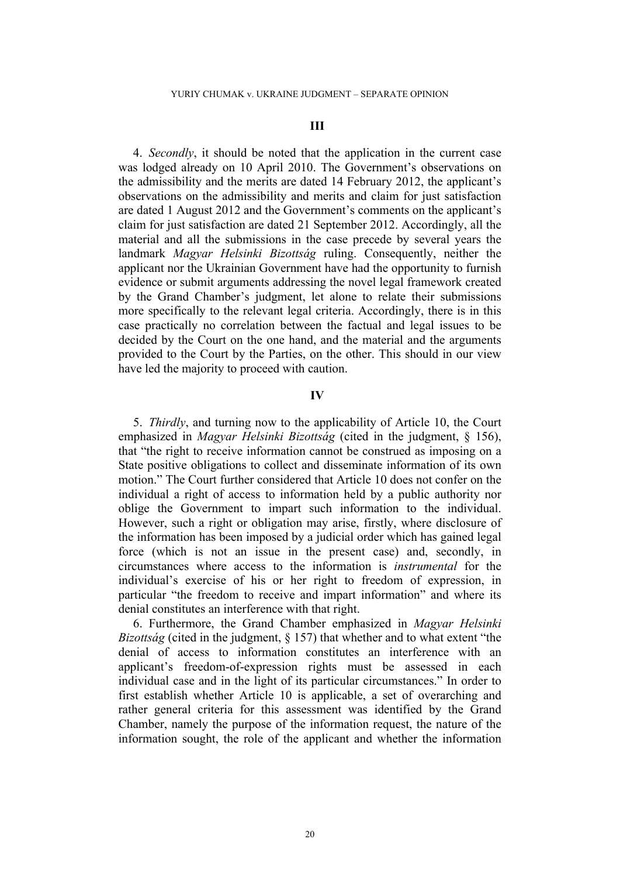### **III**

4. *Secondly*, it should be noted that the application in the current case was lodged already on 10 April 2010. The Government's observations on the admissibility and the merits are dated 14 February 2012, the applicant's observations on the admissibility and merits and claim for just satisfaction are dated 1 August 2012 and the Government's comments on the applicant's claim for just satisfaction are dated 21 September 2012. Accordingly, all the material and all the submissions in the case precede by several years the landmark *Magyar Helsinki Bizottság* ruling. Consequently, neither the applicant nor the Ukrainian Government have had the opportunity to furnish evidence or submit arguments addressing the novel legal framework created by the Grand Chamber's judgment, let alone to relate their submissions more specifically to the relevant legal criteria. Accordingly, there is in this case practically no correlation between the factual and legal issues to be decided by the Court on the one hand, and the material and the arguments provided to the Court by the Parties, on the other. This should in our view have led the majority to proceed with caution.

### **IV**

5. *Thirdly*, and turning now to the applicability of Article 10, the Court emphasized in *Magyar Helsinki Bizottság* (cited in the judgment, § 156), that "the right to receive information cannot be construed as imposing on a State positive obligations to collect and disseminate information of its own motion." The Court further considered that Article 10 does not confer on the individual a right of access to information held by a public authority nor oblige the Government to impart such information to the individual. However, such a right or obligation may arise, firstly, where disclosure of the information has been imposed by a judicial order which has gained legal force (which is not an issue in the present case) and, secondly, in circumstances where access to the information is *instrumental* for the individual's exercise of his or her right to freedom of expression, in particular "the freedom to receive and impart information" and where its denial constitutes an interference with that right.

6. Furthermore, the Grand Chamber emphasized in *Magyar Helsinki Bizottság* (cited in the judgment, § 157) that whether and to what extent "the denial of access to information constitutes an interference with an applicant's freedom-of-expression rights must be assessed in each individual case and in the light of its particular circumstances." In order to first establish whether Article 10 is applicable, a set of overarching and rather general criteria for this assessment was identified by the Grand Chamber, namely the purpose of the information request, the nature of the information sought, the role of the applicant and whether the information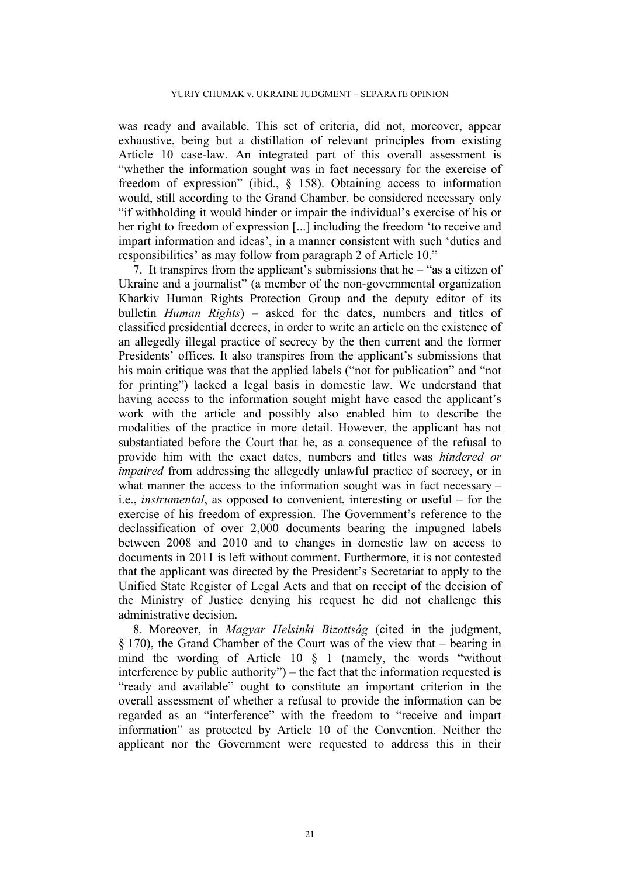was ready and available. This set of criteria, did not, moreover, appear exhaustive, being but a distillation of relevant principles from existing Article 10 case-law. An integrated part of this overall assessment is "whether the information sought was in fact necessary for the exercise of freedom of expression" (ibid., § 158). Obtaining access to information would, still according to the Grand Chamber, be considered necessary only "if withholding it would hinder or impair the individual's exercise of his or her right to freedom of expression [...] including the freedom 'to receive and impart information and ideas', in a manner consistent with such 'duties and responsibilities' as may follow from paragraph 2 of Article 10."

7. It transpires from the applicant's submissions that he – "as a citizen of Ukraine and a journalist" (a member of the non-governmental organization Kharkiv Human Rights Protection Group and the deputy editor of its bulletin *Human Rights*) – asked for the dates, numbers and titles of classified presidential decrees, in order to write an article on the existence of an allegedly illegal practice of secrecy by the then current and the former Presidents' offices. It also transpires from the applicant's submissions that his main critique was that the applied labels ("not for publication" and "not for printing") lacked a legal basis in domestic law. We understand that having access to the information sought might have eased the applicant's work with the article and possibly also enabled him to describe the modalities of the practice in more detail. However, the applicant has not substantiated before the Court that he, as a consequence of the refusal to provide him with the exact dates, numbers and titles was *hindered or impaired* from addressing the allegedly unlawful practice of secrecy, or in what manner the access to the information sought was in fact necessary – i.e., *instrumental*, as opposed to convenient, interesting or useful – for the exercise of his freedom of expression. The Government's reference to the declassification of over 2,000 documents bearing the impugned labels between 2008 and 2010 and to changes in domestic law on access to documents in 2011 is left without comment. Furthermore, it is not contested that the applicant was directed by the President's Secretariat to apply to the Unified State Register of Legal Acts and that on receipt of the decision of the Ministry of Justice denying his request he did not challenge this administrative decision.

8. Moreover, in *Magyar Helsinki Bizottság* (cited in the judgment, § 170), the Grand Chamber of the Court was of the view that – bearing in mind the wording of Article 10 § 1 (namely, the words "without interference by public authority") – the fact that the information requested is "ready and available" ought to constitute an important criterion in the overall assessment of whether a refusal to provide the information can be regarded as an "interference" with the freedom to "receive and impart information" as protected by Article 10 of the Convention. Neither the applicant nor the Government were requested to address this in their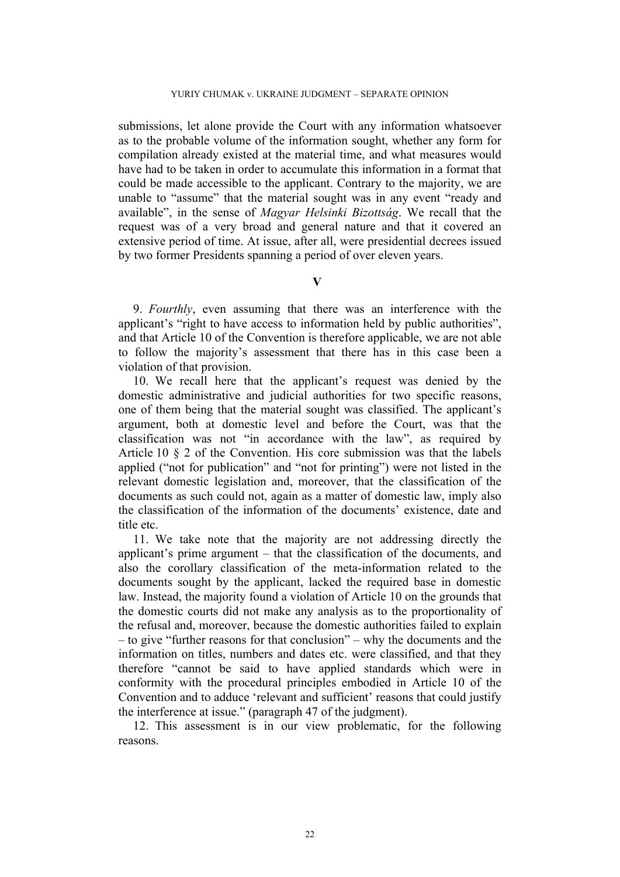submissions, let alone provide the Court with any information whatsoever as to the probable volume of the information sought, whether any form for compilation already existed at the material time, and what measures would have had to be taken in order to accumulate this information in a format that could be made accessible to the applicant. Contrary to the majority, we are unable to "assume" that the material sought was in any event "ready and available", in the sense of *Magyar Helsinki Bizottság*. We recall that the request was of a very broad and general nature and that it covered an extensive period of time. At issue, after all, were presidential decrees issued by two former Presidents spanning a period of over eleven years.

## **V**

9. *Fourthly*, even assuming that there was an interference with the applicant's "right to have access to information held by public authorities", and that Article 10 of the Convention is therefore applicable, we are not able to follow the majority's assessment that there has in this case been a violation of that provision.

10. We recall here that the applicant's request was denied by the domestic administrative and judicial authorities for two specific reasons, one of them being that the material sought was classified. The applicant's argument, both at domestic level and before the Court, was that the classification was not "in accordance with the law", as required by Article 10 § 2 of the Convention. His core submission was that the labels applied ("not for publication" and "not for printing") were not listed in the relevant domestic legislation and, moreover, that the classification of the documents as such could not, again as a matter of domestic law, imply also the classification of the information of the documents' existence, date and title etc.

11. We take note that the majority are not addressing directly the applicant's prime argument – that the classification of the documents, and also the corollary classification of the meta-information related to the documents sought by the applicant, lacked the required base in domestic law. Instead, the majority found a violation of Article 10 on the grounds that the domestic courts did not make any analysis as to the proportionality of the refusal and, moreover, because the domestic authorities failed to explain – to give "further reasons for that conclusion" – why the documents and the information on titles, numbers and dates etc. were classified, and that they therefore "cannot be said to have applied standards which were in conformity with the procedural principles embodied in Article 10 of the Convention and to adduce 'relevant and sufficient' reasons that could justify the interference at issue." (paragraph 47 of the judgment).

12. This assessment is in our view problematic, for the following reasons.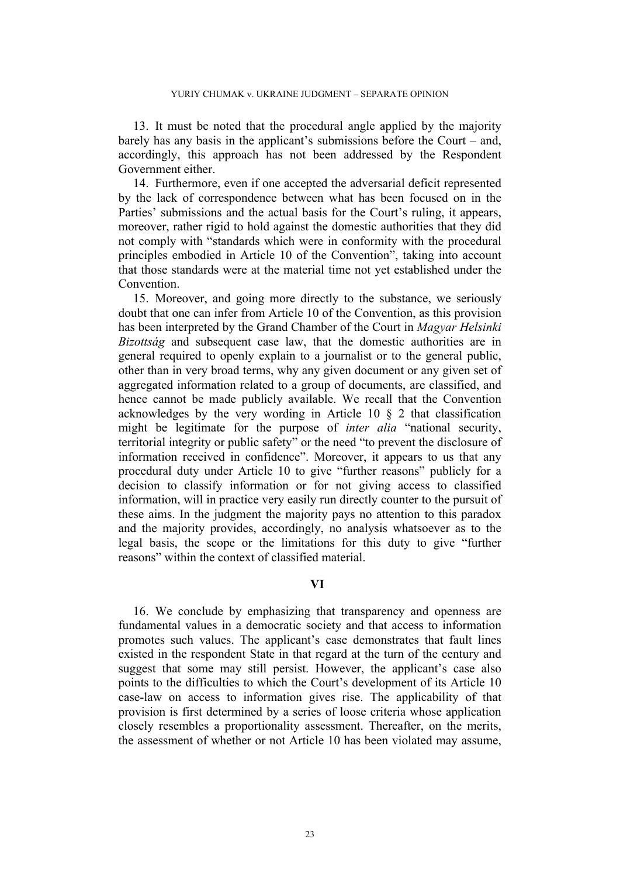13. It must be noted that the procedural angle applied by the majority barely has any basis in the applicant's submissions before the Court – and, accordingly, this approach has not been addressed by the Respondent Government either.

14. Furthermore, even if one accepted the adversarial deficit represented by the lack of correspondence between what has been focused on in the Parties' submissions and the actual basis for the Court's ruling, it appears, moreover, rather rigid to hold against the domestic authorities that they did not comply with "standards which were in conformity with the procedural principles embodied in Article 10 of the Convention", taking into account that those standards were at the material time not yet established under the **Convention** 

15. Moreover, and going more directly to the substance, we seriously doubt that one can infer from Article 10 of the Convention, as this provision has been interpreted by the Grand Chamber of the Court in *Magyar Helsinki Bizottság* and subsequent case law, that the domestic authorities are in general required to openly explain to a journalist or to the general public, other than in very broad terms, why any given document or any given set of aggregated information related to a group of documents, are classified, and hence cannot be made publicly available. We recall that the Convention acknowledges by the very wording in Article 10 § 2 that classification might be legitimate for the purpose of *inter alia* "national security, territorial integrity or public safety" or the need "to prevent the disclosure of information received in confidence". Moreover, it appears to us that any procedural duty under Article 10 to give "further reasons" publicly for a decision to classify information or for not giving access to classified information, will in practice very easily run directly counter to the pursuit of these aims. In the judgment the majority pays no attention to this paradox and the majority provides, accordingly, no analysis whatsoever as to the legal basis, the scope or the limitations for this duty to give "further reasons" within the context of classified material.

### **VI**

16. We conclude by emphasizing that transparency and openness are fundamental values in a democratic society and that access to information promotes such values. The applicant's case demonstrates that fault lines existed in the respondent State in that regard at the turn of the century and suggest that some may still persist. However, the applicant's case also points to the difficulties to which the Court's development of its Article 10 case-law on access to information gives rise. The applicability of that provision is first determined by a series of loose criteria whose application closely resembles a proportionality assessment. Thereafter, on the merits, the assessment of whether or not Article 10 has been violated may assume,